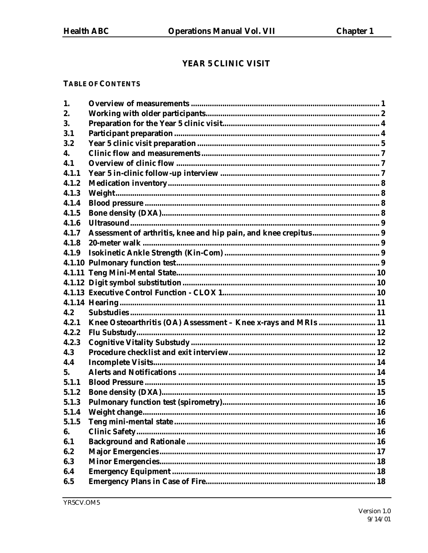## YEAR 5 CLINIC VISIT

#### **TABLE OF CONTENTS**

| Assessment of arthritis, knee and hip pain, and knee crepitus 9 |  |
|-----------------------------------------------------------------|--|
|                                                                 |  |
|                                                                 |  |
|                                                                 |  |
|                                                                 |  |
|                                                                 |  |
|                                                                 |  |
|                                                                 |  |
|                                                                 |  |
| Knee Osteoarthritis (OA) Assessment - Knee x-rays and MRIs  11  |  |
|                                                                 |  |
|                                                                 |  |
|                                                                 |  |
|                                                                 |  |
|                                                                 |  |
|                                                                 |  |
|                                                                 |  |
|                                                                 |  |
|                                                                 |  |
|                                                                 |  |
|                                                                 |  |
|                                                                 |  |
|                                                                 |  |
|                                                                 |  |
|                                                                 |  |
|                                                                 |  |
|                                                                 |  |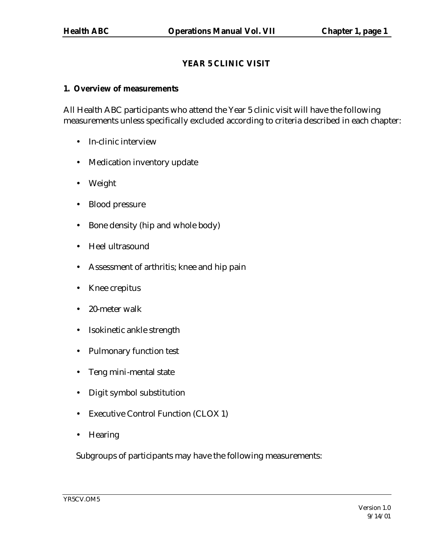## **YEAR 5 CLINIC VISIT**

#### **1. Overview of measurements**

All Health ABC participants who attend the Year 5 clinic visit will have the following measurements unless specifically excluded according to criteria described in each chapter:

- In-clinic interview
- Medication inventory update
- Weight
- Blood pressure
- Bone density (hip and whole body)
- Heel ultrasound
- Assessment of arthritis; knee and hip pain
- Knee crepitus
- 20-meter walk
- Isokinetic ankle strength
- Pulmonary function test
- Teng mini-mental state
- Digit symbol substitution
- Executive Control Function (CLOX 1)
- Hearing

Subgroups of participants may have the following measurements: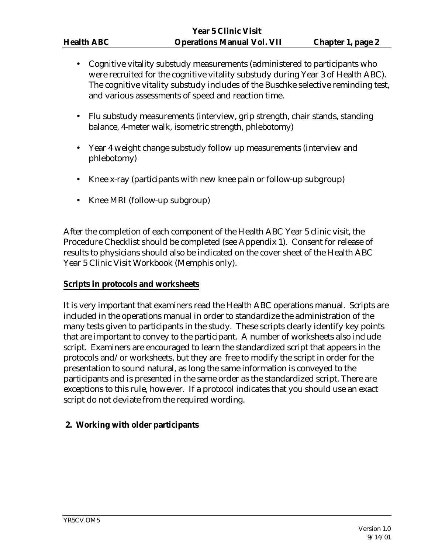- Cognitive vitality substudy measurements (administered to participants who were recruited for the cognitive vitality substudy during Year 3 of Health ABC). The cognitive vitality substudy includes of the Buschke selective reminding test, and various assessments of speed and reaction time.
- Flu substudy measurements (interview, grip strength, chair stands, standing balance, 4-meter walk, isometric strength, phlebotomy)
- Year 4 weight change substudy follow up measurements (interview and phlebotomy)
- Knee x-ray (participants with new knee pain or follow-up subgroup)
- Knee MRI (follow-up subgroup)

After the completion of each component of the Health ABC Year 5 clinic visit, the Procedure Checklist should be completed (see Appendix 1). Consent for release of results to physicians should also be indicated on the cover sheet of the Health ABC Year 5 Clinic Visit Workbook (Memphis only).

#### **Scripts in protocols and worksheets**

It is very important that examiners read the Health ABC operations manual. Scripts are included in the operations manual in order to standardize the administration of the many tests given to participants in the study. These scripts clearly identify key points that are important to convey to the participant. A number of worksheets also include script. Examiners are encouraged to learn the standardized script that appears in the protocols and/or worksheets, but they are free to modify the script in order for the presentation to sound natural, as long the same information is conveyed to the participants and is presented in the same order as the standardized script. There are exceptions to this rule, however. If a protocol indicates that you should use an exact script do not deviate from the required wording.

#### **2. Working with older participants**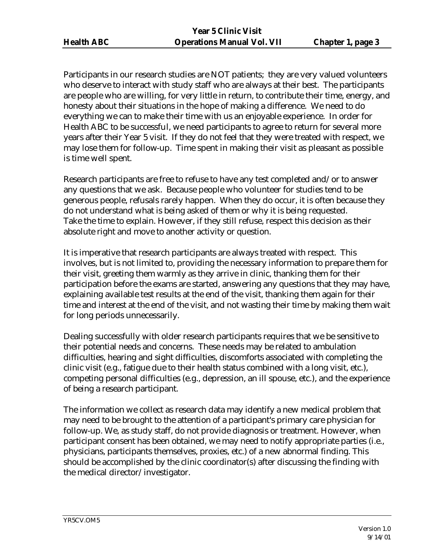Participants in our research studies are NOT patients; they are very valued volunteers who deserve to interact with study staff who are always at their best. The participants are people who are willing, for very little in return, to contribute their time, energy, and honesty about their situations in the hope of making a difference. We need to do everything we can to make their time with us an enjoyable experience. In order for Health ABC to be successful, we need participants to agree to return for several more years after their Year 5 visit. If they do not feel that they were treated with respect, we may lose them for follow-up. Time spent in making their visit as pleasant as possible is time well spent.

Research participants are free to refuse to have any test completed and/or to answer any questions that we ask. Because people who volunteer for studies tend to be generous people, refusals rarely happen. When they do occur, it is often because they do not understand what is being asked of them or why it is being requested. Take the time to explain. However, if they still refuse, respect this decision as their absolute right and move to another activity or question.

It is imperative that research participants are always treated with respect. This involves, but is not limited to, providing the necessary information to prepare them for their visit, greeting them warmly as they arrive in clinic, thanking them for their participation before the exams are started, answering any questions that they may have, explaining available test results at the end of the visit, thanking them again for their time and interest at the end of the visit, and not wasting their time by making them wait for long periods unnecessarily.

Dealing successfully with older research participants requires that we be sensitive to their potential needs and concerns. These needs may be related to ambulation difficulties, hearing and sight difficulties, discomforts associated with completing the clinic visit (e.g., fatigue due to their health status combined with a long visit, etc.), competing personal difficulties (e.g., depression, an ill spouse, etc.), and the experience of being a research participant.

The information we collect as research data may identify a new medical problem that may need to be brought to the attention of a participant's primary care physician for follow-up. We, as study staff, do not provide diagnosis or treatment. However, when participant consent has been obtained, we may need to notify appropriate parties (i.e., physicians, participants themselves, proxies, etc.) of a new abnormal finding. This should be accomplished by the clinic coordinator(s) after discussing the finding with the medical director/investigator.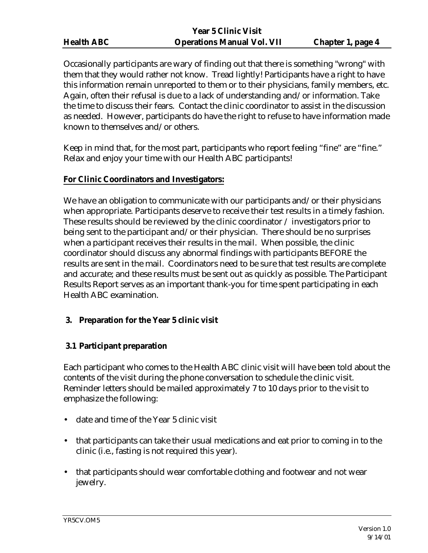Occasionally participants are wary of finding out that there is something "wrong" with them that they would rather not know. Tread lightly! Participants have a right to have this information remain unreported to them or to their physicians, family members, etc. Again, often their refusal is due to a lack of understanding and/or information. Take the time to discuss their fears. Contact the clinic coordinator to assist in the discussion as needed. However, participants do have the right to refuse to have information made known to themselves and/or others.

Keep in mind that, for the most part, participants who report feeling "fine" are "fine." Relax and enjoy your time with our Health ABC participants!

## **For Clinic Coordinators and Investigators:**

We have an obligation to communicate with our participants and/or their physicians when appropriate. Participants deserve to receive their test results in a timely fashion. These results should be reviewed by the clinic coordinator / investigators prior to being sent to the participant and/or their physician. There should be no surprises when a participant receives their results in the mail. When possible, the clinic coordinator should discuss any abnormal findings with participants BEFORE the results are sent in the mail. Coordinators need to be sure that test results are complete and accurate; and these results must be sent out as quickly as possible. The Participant Results Report serves as an important thank-you for time spent participating in each Health ABC examination.

## **3. Preparation for the Year 5 clinic visit**

## **3.1 Participant preparation**

Each participant who comes to the Health ABC clinic visit will have been told about the contents of the visit during the phone conversation to schedule the clinic visit. Reminder letters should be mailed approximately 7 to 10 days prior to the visit to emphasize the following:

- date and time of the Year 5 clinic visit
- that participants can take their usual medications and eat prior to coming in to the clinic (i.e., fasting is not required this year).
- that participants should wear comfortable clothing and footwear and not wear jewelry.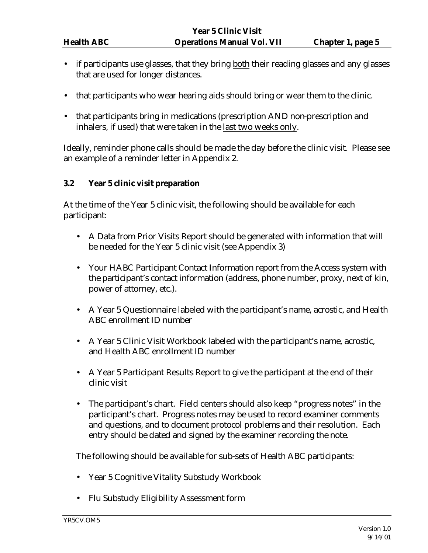- if participants use glasses, that they bring both their reading glasses and any glasses that are used for longer distances.
- that participants who wear hearing aids should bring or wear them to the clinic.
- that participants bring in medications (prescription AND non-prescription and inhalers, if used) that were taken in the last two weeks only.

Ideally, reminder phone calls should be made the day before the clinic visit. Please see an example of a reminder letter in Appendix 2.

## **3.2 Year 5 clinic visit preparation**

At the time of the Year 5 clinic visit, the following should be available for each participant:

- A Data from Prior Visits Report should be generated with information that will be needed for the Year 5 clinic visit (see Appendix 3)
- Your HABC Participant Contact Information report from the Access system with the participant's contact information (address, phone number, proxy, next of kin, power of attorney, etc.).
- A Year 5 Questionnaire labeled with the participant's name, acrostic, and Health ABC enrollment ID number
- A Year 5 Clinic Visit Workbook labeled with the participant's name, acrostic, and Health ABC enrollment ID number
- A Year 5 Participant Results Report to give the participant at the end of their clinic visit
- The participant's chart. Field centers should also keep "progress notes" in the participant's chart. Progress notes may be used to record examiner comments and questions, and to document protocol problems and their resolution. Each entry should be dated and signed by the examiner recording the note.

The following should be available for sub-sets of Health ABC participants:

- Year 5 Cognitive Vitality Substudy Workbook
- Flu Substudy Eligibility Assessment form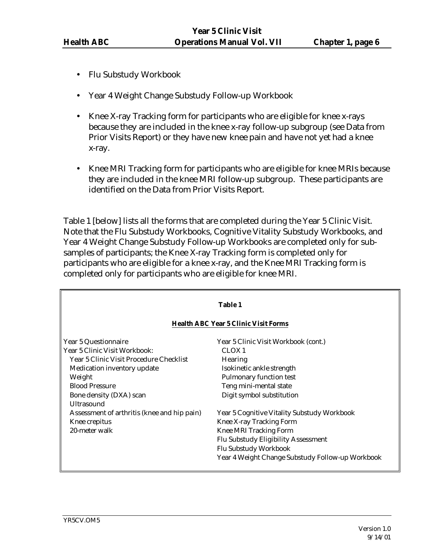- Flu Substudy Workbook
- Year 4 Weight Change Substudy Follow-up Workbook
- Knee X-ray Tracking form for participants who are eligible for knee x-rays because they are included in the knee x-ray follow-up subgroup (see Data from Prior Visits Report) or they have new knee pain and have not yet had a knee x-ray.
- Knee MRI Tracking form for participants who are eligible for knee MRIs because they are included in the knee MRI follow-up subgroup. These participants are identified on the Data from Prior Visits Report.

Table 1 [below] lists all the forms that are completed during the Year 5 Clinic Visit. Note that the Flu Substudy Workbooks, Cognitive Vitality Substudy Workbooks, and Year 4 Weight Change Substudy Follow-up Workbooks are completed only for subsamples of participants; the Knee X-ray Tracking form is completed only for participants who are eligible for a knee x-ray, and the Knee MRI Tracking form is completed only for participants who are eligible for knee MRI.

| <b>Table 1</b>                                                                       |                                                                                       |  |  |  |  |
|--------------------------------------------------------------------------------------|---------------------------------------------------------------------------------------|--|--|--|--|
|                                                                                      | <b>Health ABC Year 5 Clinic Visit Forms</b>                                           |  |  |  |  |
| Year 5 Questionnaire<br>Year 5 Clinic Visit Workbook:                                | Year 5 Clinic Visit Workbook (cont.)<br>CLOX <sub>1</sub>                             |  |  |  |  |
| Year 5 Clinic Visit Procedure Checklist<br>Medication inventory update               | <b>Hearing</b><br>Isokinetic ankle strength                                           |  |  |  |  |
| Weight<br><b>Blood Pressure</b>                                                      | <b>Pulmonary function test</b><br>Teng mini-mental state<br>Digit symbol substitution |  |  |  |  |
| Bone density (DXA) scan<br>Ultrasound<br>Assessment of arthritis (knee and hip pain) | Year 5 Cognitive Vitality Substudy Workbook                                           |  |  |  |  |
| Knee crepitus<br>20-meter walk                                                       | Knee X-ray Tracking Form<br>Knee MRI Tracking Form                                    |  |  |  |  |
|                                                                                      | Flu Substudy Eligibility Assessment<br>Flu Substudy Workbook                          |  |  |  |  |
|                                                                                      | Year 4 Weight Change Substudy Follow-up Workbook                                      |  |  |  |  |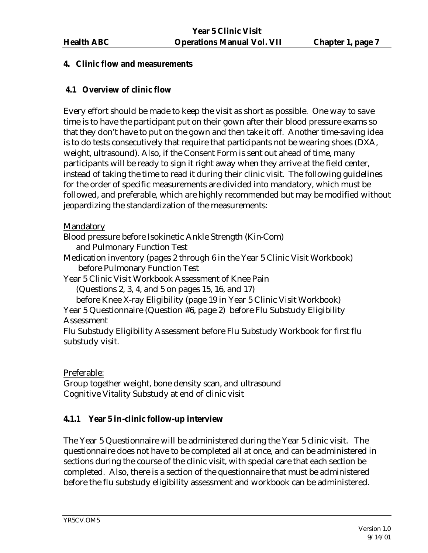## **4. Clinic flow and measurements**

## **4.1 Overview of clinic flow**

Every effort should be made to keep the visit as short as possible. One way to save time is to have the participant put on their gown after their blood pressure exams so that they don't have to put on the gown and then take it off. Another time-saving idea is to do tests consecutively that require that participants not be wearing shoes (DXA, weight, ultrasound). Also, if the Consent Form is sent out ahead of time, many participants will be ready to sign it right away when they arrive at the field center, instead of taking the time to read it during their clinic visit. The following guidelines for the order of specific measurements are divided into mandatory, which must be followed, and preferable, which are highly recommended but may be modified without jeopardizing the standardization of the measurements:

Mandatory

Blood pressure before Isokinetic Ankle Strength (Kin-Com)

and Pulmonary Function Test

Medication inventory (pages 2 through 6 in the Year 5 Clinic Visit Workbook) before Pulmonary Function Test

Year 5 Clinic Visit Workbook Assessment of Knee Pain

(Questions 2, 3, 4, and 5 on pages 15, 16, and 17)

before Knee X-ray Eligibility (page 19 in Year 5 Clinic Visit Workbook) Year 5 Questionnaire (Question #6, page 2) before Flu Substudy Eligibility Assessment

Flu Substudy Eligibility Assessment before Flu Substudy Workbook for first flu substudy visit.

Preferable:

Group together weight, bone density scan, and ultrasound Cognitive Vitality Substudy at end of clinic visit

## **4.1.1 Year 5 in-clinic follow-up interview**

The Year 5 Questionnaire will be administered during the Year 5 clinic visit. The questionnaire does not have to be completed all at once, and can be administered in sections during the course of the clinic visit, with special care that each section be completed. Also, there is a section of the questionnaire that must be administered before the flu substudy eligibility assessment and workbook can be administered.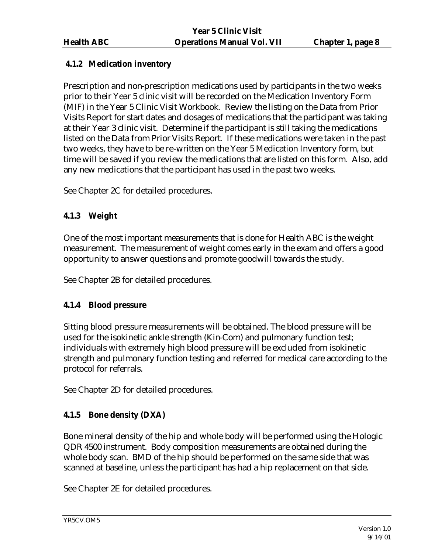## **4.1.2 Medication inventory**

Prescription and non-prescription medications used by participants in the two weeks prior to their Year 5 clinic visit will be recorded on the Medication Inventory Form (MIF) in the Year 5 Clinic Visit Workbook. Review the listing on the Data from Prior Visits Report for start dates and dosages of medications that the participant was taking at their Year 3 clinic visit. Determine if the participant is still taking the medications listed on the Data from Prior Visits Report. If these medications were taken in the past two weeks, they have to be re-written on the Year 5 Medication Inventory form, but time will be saved if you review the medications that are listed on this form. Also, add any new medications that the participant has used in the past two weeks.

See Chapter 2C for detailed procedures.

## **4.1.3 Weight**

One of the most important measurements that is done for Health ABC is the weight measurement. The measurement of weight comes early in the exam and offers a good opportunity to answer questions and promote goodwill towards the study.

See Chapter 2B for detailed procedures.

## **4.1.4 Blood pressure**

Sitting blood pressure measurements will be obtained. The blood pressure will be used for the isokinetic ankle strength (Kin-Com) and pulmonary function test; individuals with extremely high blood pressure will be excluded from isokinetic strength and pulmonary function testing and referred for medical care according to the protocol for referrals.

See Chapter 2D for detailed procedures.

## **4.1.5 Bone density (DXA)**

Bone mineral density of the hip and whole body will be performed using the Hologic QDR 4500 instrument. Body composition measurements are obtained during the whole body scan. BMD of the hip should be performed on the same side that was scanned at baseline, unless the participant has had a hip replacement on that side.

See Chapter 2E for detailed procedures.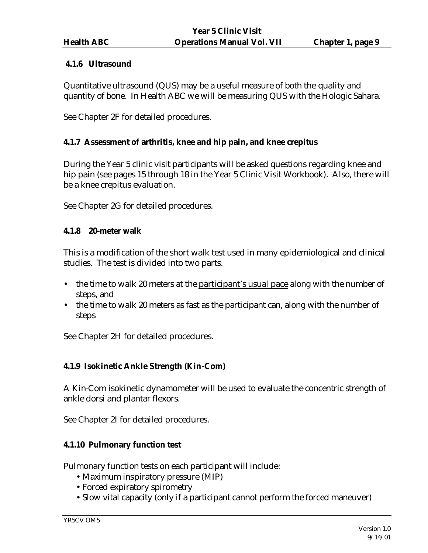#### **4.1.6 Ultrasound**

Quantitative ultrasound (QUS) may be a useful measure of both the quality and quantity of bone. In Health ABC we will be measuring QUS with the Hologic Sahara.

See Chapter 2F for detailed procedures.

## **4.1.7 Assessment of arthritis, knee and hip pain, and knee crepitus**

During the Year 5 clinic visit participants will be asked questions regarding knee and hip pain (see pages 15 through 18 in the Year 5 Clinic Visit Workbook). Also, there will be a knee crepitus evaluation.

See Chapter 2G for detailed procedures.

## **4.1.8 20-meter walk**

This is a modification of the short walk test used in many epidemiological and clinical studies. The test is divided into two parts.

- the time to walk 20 meters at the participant's usual pace along with the number of steps, and
- the time to walk 20 meters as fast as the participant can, along with the number of steps

See Chapter 2H for detailed procedures.

## **4.1.9 Isokinetic Ankle Strength (Kin-Com)**

A Kin-Com isokinetic dynamometer will be used to evaluate the concentric strength of ankle dorsi and plantar flexors.

See Chapter 2I for detailed procedures.

## **4.1.10 Pulmonary function test**

Pulmonary function tests on each participant will include:

- •Maximum inspiratory pressure (MIP)
- •Forced expiratory spirometry
- •Slow vital capacity (only if a participant cannot perform the forced maneuver)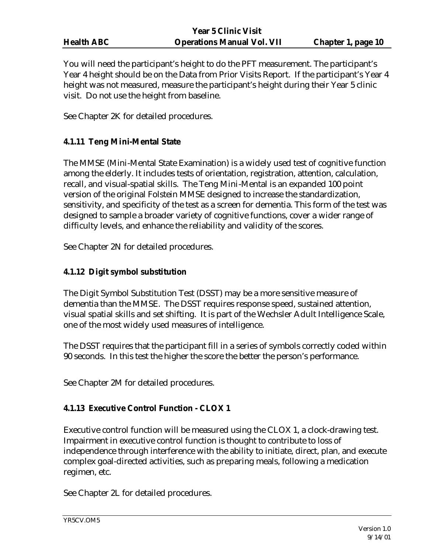| <b>Health ABC</b> |  |
|-------------------|--|
|                   |  |

You will need the participant's height to do the PFT measurement. The participant's Year 4 height should be on the Data from Prior Visits Report. If the participant's Year 4 height was not measured, measure the participant's height during their Year 5 clinic visit. Do not use the height from baseline.

See Chapter 2K for detailed procedures.

## **4.1.11 Teng Mini-Mental State**

The MMSE (Mini-Mental State Examination) is a widely used test of cognitive function among the elderly. It includes tests of orientation, registration, attention, calculation, recall, and visual-spatial skills. The Teng Mini-Mental is an expanded 100 point version of the original Folstein MMSE designed to increase the standardization, sensitivity, and specificity of the test as a screen for dementia. This form of the test was designed to sample a broader variety of cognitive functions, cover a wider range of difficulty levels, and enhance the reliability and validity of the scores.

See Chapter 2N for detailed procedures.

## **4.1.12 Digit symbol substitution**

The Digit Symbol Substitution Test (DSST) may be a more sensitive measure of dementia than the MMSE. The DSST requires response speed, sustained attention, visual spatial skills and set shifting. It is part of the Wechsler Adult Intelligence Scale, one of the most widely used measures of intelligence.

The DSST requires that the participant fill in a series of symbols correctly coded within 90 seconds. In this test the higher the score the better the person's performance.

See Chapter 2M for detailed procedures.

## **4.1.13 Executive Control Function - CLOX 1**

Executive control function will be measured using the CLOX 1, a clock-drawing test. Impairment in executive control function is thought to contribute to loss of independence through interference with the ability to initiate, direct, plan, and execute complex goal-directed activities, such as preparing meals, following a medication regimen, etc.

See Chapter 2L for detailed procedures.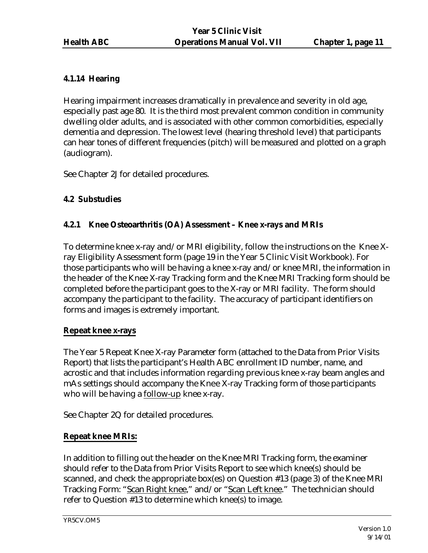## **4.1.14 Hearing**

Hearing impairment increases dramatically in prevalence and severity in old age, especially past age 80. It is the third most prevalent common condition in community dwelling older adults, and is associated with other common comorbidities, especially dementia and depression. The lowest level (hearing threshold level) that participants can hear tones of different frequencies (pitch) will be measured and plotted on a graph (audiogram).

See Chapter 2J for detailed procedures.

## **4.2 Substudies**

## **4.2.1 Knee Osteoarthritis (OA) Assessment – Knee x-rays and MRIs**

To determine knee x-ray and/or MRI eligibility, follow the instructions on the Knee Xray Eligibility Assessment form (page 19 in the Year 5 Clinic Visit Workbook). For those participants who will be having a knee x-ray and/or knee MRI, the information in the header of the Knee X-ray Tracking form and the Knee MRI Tracking form should be completed before the participant goes to the X-ray or MRI facility. The form should accompany the participant to the facility. The accuracy of participant identifiers on forms and images is extremely important.

## **Repeat knee x-rays**

The Year 5 Repeat Knee X-ray Parameter form (attached to the Data from Prior Visits Report) that lists the participant's Health ABC enrollment ID number, name, and acrostic and that includes information regarding previous knee x-ray beam angles and mAs settings should accompany the Knee X-ray Tracking form of those participants who will be having a follow-up knee x-ray.

See Chapter 2Q for detailed procedures.

## **Repeat knee MRIs:**

In addition to filling out the header on the Knee MRI Tracking form, the examiner should refer to the Data from Prior Visits Report to see which knee(s) should be scanned, and check the appropriate box(es) on Question #13 (page 3) of the Knee MRI Tracking Form: "Scan Right knee," and/or "Scan Left knee." The technician should refer to Question #13 to determine which knee(s) to image.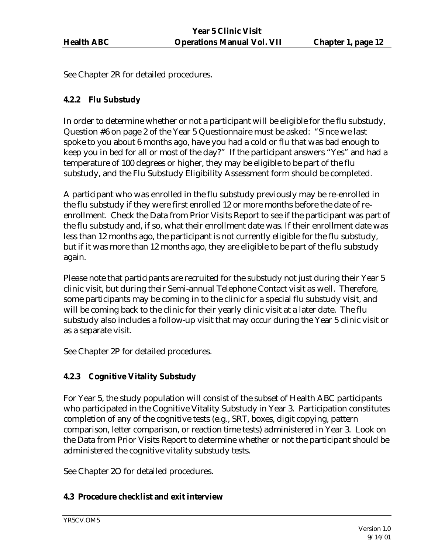See Chapter 2R for detailed procedures.

## **4.2.2 Flu Substudy**

In order to determine whether or not a participant will be eligible for the flu substudy, Question #6 on page 2 of the Year 5 Questionnaire must be asked: "Since we last spoke to you about 6 months ago, have you had a cold or flu that was bad enough to keep you in bed for all or most of the day?" If the participant answers "Yes" and had a temperature of 100 degrees or higher, they may be eligible to be part of the flu substudy, and the Flu Substudy Eligibility Assessment form should be completed.

A participant who was enrolled in the flu substudy previously may be re-enrolled in the flu substudy if they were first enrolled 12 or more months before the date of reenrollment. Check the Data from Prior Visits Report to see if the participant was part of the flu substudy and, if so, what their enrollment date was. If their enrollment date was less than 12 months ago, the participant is not currently eligible for the flu substudy, but if it was more than 12 months ago, they are eligible to be part of the flu substudy again.

Please note that participants are recruited for the substudy not just during their Year 5 clinic visit, but during their Semi-annual Telephone Contact visit as well. Therefore, some participants may be coming in to the clinic for a special flu substudy visit, and will be coming back to the clinic for their yearly clinic visit at a later date. The flu substudy also includes a follow-up visit that may occur during the Year 5 clinic visit or as a separate visit.

See Chapter 2P for detailed procedures.

## **4.2.3 Cognitive Vitality Substudy**

For Year 5, the study population will consist of the subset of Health ABC participants who participated in the Cognitive Vitality Substudy in Year 3. Participation constitutes completion of any of the cognitive tests (e.g., SRT, boxes, digit copying, pattern comparison, letter comparison, or reaction time tests) administered in Year 3. Look on the Data from Prior Visits Report to determine whether or not the participant should be administered the cognitive vitality substudy tests.

See Chapter 2O for detailed procedures.

## **4.3 Procedure checklist and exit interview**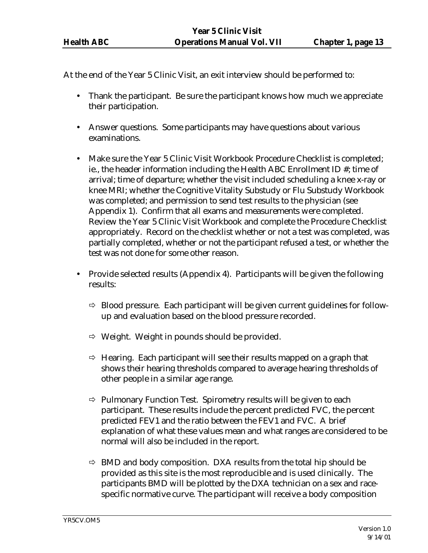At the end of the Year 5 Clinic Visit, an exit interview should be performed to:

- Thank the participant. Be sure the participant knows how much we appreciate their participation.
- Answer questions. Some participants may have questions about various examinations.
- Make sure the Year 5 Clinic Visit Workbook Procedure Checklist is completed; ie., the header information including the Health ABC Enrollment ID #; time of arrival; time of departure; whether the visit included scheduling a knee x-ray or knee MRI; whether the Cognitive Vitality Substudy or Flu Substudy Workbook was completed; and permission to send test results to the physician (see Appendix 1). Confirm that all exams and measurements were completed. Review the Year 5 Clinic Visit Workbook and complete the Procedure Checklist appropriately. Record on the checklist whether or not a test was completed, was partially completed, whether or not the participant refused a test, or whether the test was not done for some other reason.
- Provide selected results (Appendix 4). Participants will be given the following results:
	- $\Rightarrow$  Blood pressure. Each participant will be given current guidelines for followup and evaluation based on the blood pressure recorded.
	- $\Rightarrow$  Weight. Weight in pounds should be provided.
	- $\Rightarrow$  Hearing. Each participant will see their results mapped on a graph that shows their hearing thresholds compared to average hearing thresholds of other people in a similar age range.
	- $\Rightarrow$  Pulmonary Function Test. Spirometry results will be given to each participant. These results include the percent predicted FVC, the percent predicted FEV1 and the ratio between the FEV1 and FVC. A brief explanation of what these values mean and what ranges are considered to be normal will also be included in the report.
	- $\Rightarrow$  BMD and body composition. DXA results from the total hip should be provided as this site is the most reproducible and is used clinically. The participants BMD will be plotted by the DXA technician on a sex and racespecific normative curve. The participant will receive a body composition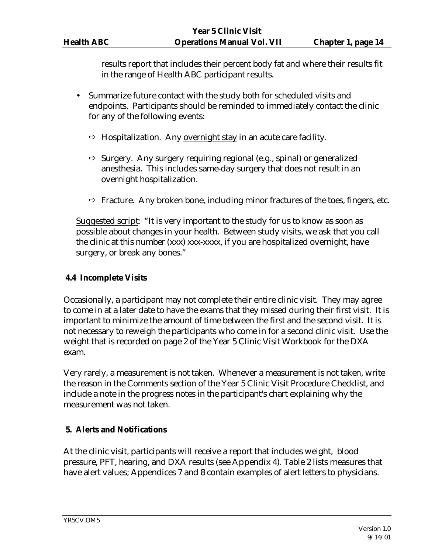results report that includes their percent body fat and where their results fit in the range of Health ABC participant results.

- Summarize future contact with the study both for scheduled visits and endpoints. Participants should be reminded to immediately contact the clinic for any of the following events:
	- $\Rightarrow$  Hospitalization. Any overnight stay in an acute care facility.
	- $\Rightarrow$  Surgery. Any surgery requiring regional (e.g., spinal) or generalized anesthesia. This includes same-day surgery that does not result in an overnight hospitalization.
	- $\Rightarrow$  Fracture. Any broken bone, including minor fractures of the toes, fingers, etc.

Suggested script: "It is very important to the study for us to know as soon as possible about changes in your health. Between study visits, we ask that you call the clinic at this number (xxx) xxx-xxxx, if you are hospitalized overnight, have surgery, or break any bones."

## **4.4 Incomplete Visits**

Occasionally, a participant may not complete their entire clinic visit. They may agree to come in at a later date to have the exams that they missed during their first visit. It is important to minimize the amount of time between the first and the second visit. It is not necessary to reweigh the participants who come in for a second clinic visit. Use the weight that is recorded on page 2 of the Year 5 Clinic Visit Workbook for the DXA exam.

Very rarely, a measurement is not taken. Whenever a measurement is not taken, write the reason in the Comments section of the Year 5 Clinic Visit Procedure Checklist, and include a note in the progress notes in the participant's chart explaining why the measurement was not taken.

#### **5. Alerts and Notifications**

At the clinic visit, participants will receive a report that includes weight, blood pressure, PFT, hearing, and DXA results (see Appendix 4). Table 2 lists measures that have alert values; Appendices 7 and 8 contain examples of alert letters to physicians.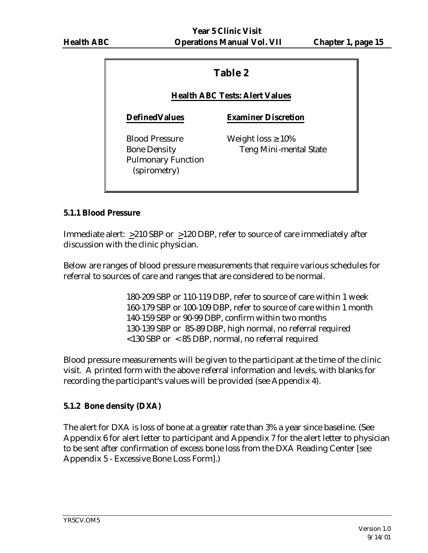## **Table 2**

## **Health ABC Tests: Alert Values**

## **DefinedValues Examiner Discretion**

Blood Pressure Weight  $loss \geq 10\%$ Pulmonary Function (spirometry)

Bone Density Teng Mini-mental State

## **5.1.1 Blood Pressure**

Immediate alert: >210 SBP or >120 DBP, refer to source of care immediately after discussion with the clinic physician.

Below are ranges of blood pressure measurements that require various schedules for referral to sources of care and ranges that are considered to be normal.

> 180-209 SBP or 110-119 DBP, refer to source of care within 1 week 160-179 SBP or 100-109 DBP, refer to source of care within 1 month 140-159 SBP or 90-99 DBP, confirm within two months 130-139 SBP or 85-89 DBP, high normal, no referral required <130 SBP or < 85 DBP, normal, no referral required

Blood pressure measurements will be given to the participant at the time of the clinic visit. A printed form with the above referral information and levels, with blanks for recording the participant's values will be provided (see Appendix 4).

## **5.1.2 Bone density (DXA)**

The alert for DXA is loss of bone at a greater rate than 3% a year since baseline. (See Appendix 6 for alert letter to participant and Appendix 7 for the alert letter to physician to be sent after confirmation of excess bone loss from the DXA Reading Center [see Appendix 5 - Excessive Bone Loss Form].)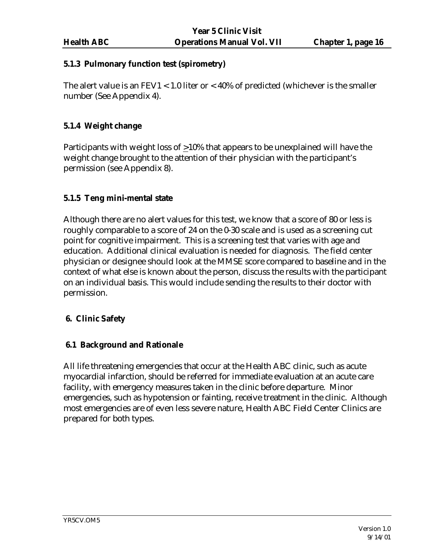#### **5.1.3 Pulmonary function test (spirometry)**

The alert value is an  $FEV1 < 1.0$  liter or  $< 40\%$  of predicted (whichever is the smaller number (See Appendix 4).

## **5.1.4 Weight change**

Participants with weight loss of >10% that appears to be unexplained will have the weight change brought to the attention of their physician with the participant's permission (see Appendix 8).

## **5.1.5 Teng mini-mental state**

Although there are no alert values for this test, we know that a score of 80 or less is roughly comparable to a score of 24 on the 0-30 scale and is used as a screening cut point for cognitive impairment. This is a screening test that varies with age and education. Additional clinical evaluation is needed for diagnosis. The field center physician or designee should look at the MMSE score compared to baseline and in the context of what else is known about the person, discuss the results with the participant on an individual basis. This would include sending the results to their doctor with permission.

#### **6. Clinic Safety**

#### **6.1 Background and Rationale**

All life threatening emergencies that occur at the Health ABC clinic, such as acute myocardial infarction, should be referred for immediate evaluation at an acute care facility, with emergency measures taken in the clinic before departure. Minor emergencies, such as hypotension or fainting, receive treatment in the clinic. Although most emergencies are of even less severe nature, Health ABC Field Center Clinics are prepared for both types.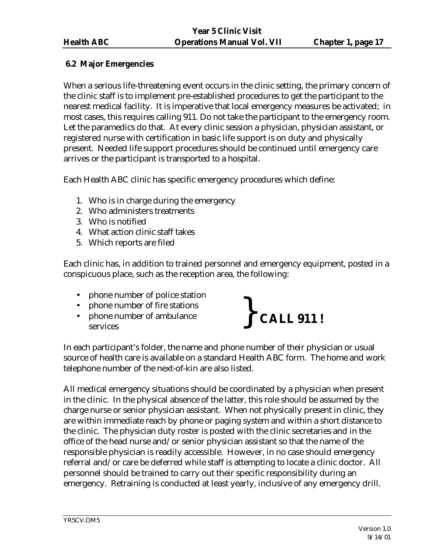## **6.2 Major Emergencies**

When a serious life-threatening event occurs in the clinic setting, the primary concern of the clinic staff is to implement pre-established procedures to get the participant to the nearest medical facility. It is imperative that local emergency measures be activated; in most cases, this requires calling 911. Do not take the participant to the emergency room. Let the paramedics do that. At every clinic session a physician, physician assistant, or registered nurse with certification in basic life support is on duty and physically present. Needed life support procedures should be continued until emergency care arrives or the participant is transported to a hospital.

Each Health ABC clinic has specific emergency procedures which define:

- 1. Who is in charge during the emergency
- 2. Who administers treatments
- 3. Who is notified
- 4. What action clinic staff takes
- 5. Which reports are filed

Each clinic has, in addition to trained personnel and emergency equipment, posted in a conspicuous place, such as the reception area, the following:

- phone number of police station
- phone number of fire stations
- phone number of ambulance services



In each participant's folder, the name and phone number of their physician or usual source of health care is available on a standard Health ABC form. The home and work telephone number of the next-of-kin are also listed.

All medical emergency situations should be coordinated by a physician when present in the clinic. In the physical absence of the latter, this role should be assumed by the charge nurse or senior physician assistant. When not physically present in clinic, they are within immediate reach by phone or paging system and within a short distance to the clinic. The physician duty roster is posted with the clinic secretaries and in the office of the head nurse and/or senior physician assistant so that the name of the responsible physician is readily accessible. However, in no case should emergency referral and/or care be deferred while staff is attempting to locate a clinic doctor. All personnel should be trained to carry out their specific responsibility during an emergency. Retraining is conducted at least yearly, inclusive of any emergency drill.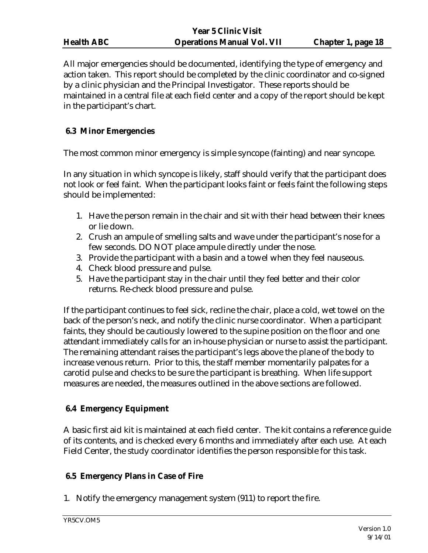|                   | rear 5 Clinic Visit               |                           |
|-------------------|-----------------------------------|---------------------------|
| <b>Health ABC</b> | <b>Operations Manual Vol. VII</b> | <b>Chapter 1, page 18</b> |

All major emergencies should be documented, identifying the type of emergency and action taken. This report should be completed by the clinic coordinator and co-signed by a clinic physician and the Principal Investigator. These reports should be maintained in a central file at each field center and a copy of the report should be kept in the participant's chart.

*P* CH<sup>2</sup> **6** CH<sub>2</sub>

#### **6.3 Minor Emergencies**

The most common minor emergency is simple syncope (fainting) and near syncope.

In any situation in which syncope is likely, staff should verify that the participant does not look or feel faint. When the participant looks faint or feels faint the following steps should be implemented:

- 1. Have the person remain in the chair and sit with their head between their knees or lie down.
- 2. Crush an ampule of smelling salts and wave under the participant's nose for a few seconds. DO NOT place ampule directly under the nose.
- 3. Provide the participant with a basin and a towel when they feel nauseous.
- 4. Check blood pressure and pulse.
- 5. Have the participant stay in the chair until they feel better and their color returns. Re-check blood pressure and pulse.

If the participant continues to feel sick, recline the chair, place a cold, wet towel on the back of the person's neck, and notify the clinic nurse coordinator. When a participant faints, they should be cautiously lowered to the supine position on the floor and one attendant immediately calls for an in-house physician or nurse to assist the participant. The remaining attendant raises the participant's legs above the plane of the body to increase venous return. Prior to this, the staff member momentarily palpates for a carotid pulse and checks to be sure the participant is breathing. When life support measures are needed, the measures outlined in the above sections are followed.

## **6.4 Emergency Equipment**

A basic first aid kit is maintained at each field center. The kit contains a reference guide of its contents, and is checked every 6 months and immediately after each use. At each Field Center, the study coordinator identifies the person responsible for this task.

#### **6.5 Emergency Plans in Case of Fire**

1. Notify the emergency management system (911) to report the fire.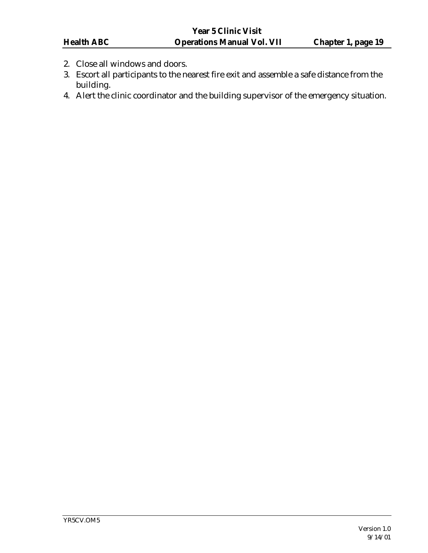- 2. Close all windows and doors.
- 3. Escort all participants to the nearest fire exit and assemble a safe distance from the building.
- 4. Alert the clinic coordinator and the building supervisor of the emergency situation.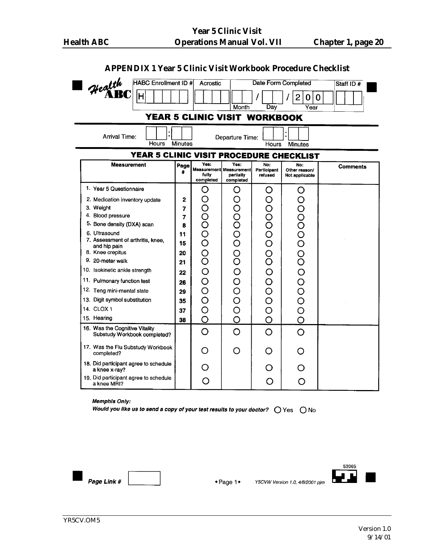| Health<br><b>HABC Enrollment ID #</b>                  |           | Acrostic                                          |                                                           |                                      | <b>Date Form Completed</b>                 | Staff ID $#$    |
|--------------------------------------------------------|-----------|---------------------------------------------------|-----------------------------------------------------------|--------------------------------------|--------------------------------------------|-----------------|
| H                                                      |           |                                                   | Month                                                     | Dav                                  | 2<br>0<br>$\mathbf 0$<br>$\overline{Year}$ |                 |
|                                                        |           | YEAR 5 CLINIC VISIT WORKBOOK                      |                                                           |                                      |                                            |                 |
| <b>Arrival Time:</b><br>Hours                          | Minutes   |                                                   | Departure Time:                                           | Hours                                | Minutes                                    |                 |
| YEAR 5 CLINIC VISIT PROCEDURE CHECKLIST                |           |                                                   |                                                           |                                      |                                            |                 |
| <b>Measurement</b>                                     | Page<br># | Yes:<br>fully<br>completed                        | Yes:<br>Measurement Measurement<br>partially<br>completed | No:<br><b>Participant</b><br>refused | No:<br>Other reason/<br>Not applicable     | <b>Comments</b> |
| 1. Year 5 Questionnaire                                |           | O                                                 | O                                                         | O                                    | O                                          |                 |
| 2. Medication inventory update                         | 2         | ( )                                               | 00000000                                                  | 00000000000                          | 000000000000                               |                 |
| 3. Weight<br>4. Blood pressure                         | 7<br>7    | Ō                                                 |                                                           |                                      |                                            |                 |
| 5. Bone density (DXA) scan                             | 8         | ŏ                                                 |                                                           |                                      |                                            |                 |
| 6. Ultrasound                                          | 11        | $\rm \ddot{\rm O}$                                |                                                           |                                      |                                            |                 |
| 7. Assessment of arthritis, knee,<br>and hip pain      | 15        | Ō                                                 |                                                           |                                      |                                            |                 |
| 8. Knee crepitus                                       | 20        |                                                   |                                                           |                                      |                                            |                 |
| 9. 20-meter walk                                       | 21        |                                                   |                                                           |                                      |                                            |                 |
| 10. Isokinetic ankle strength                          | 22        | O                                                 |                                                           |                                      |                                            |                 |
| 11. Pulmonary function test                            | 26        | O                                                 | OOO                                                       |                                      |                                            |                 |
| 12. Teng mini-mental state                             | 29        | $\overline{\mathsf{O}}$                           |                                                           |                                      |                                            |                 |
| 13. Digit symbol substitution                          | 35        | Ó                                                 |                                                           |                                      |                                            |                 |
| 14. CLOX 1<br>15. Hearing                              | 37        | $\overline{\mathcal{O}}$<br>$\overline{\bigcirc}$ |                                                           |                                      |                                            |                 |
| 16. Was the Cognitive Vitality                         | 38        |                                                   | $\overline{O}$                                            | Ó                                    |                                            |                 |
| Substudy Workbook completed?                           |           | O                                                 | O                                                         | O                                    | O                                          |                 |
| 17. Was the Flu Substudy Workbook<br>completed?        |           |                                                   | ◯                                                         | O                                    |                                            |                 |
| 18. Did participant agree to schedule<br>a knee x-ray? |           |                                                   |                                                           |                                      |                                            |                 |
| 19. Did participant agree to schedule<br>a knee MRI?   |           | Ω                                                 |                                                           | ( )                                  | O                                          |                 |

#### **APPENDIX 1 Year 5 Clinic Visit Workbook Procedure Checklist**

#### Memphis Only:

Would you like us to send a copy of your test results to your doctor?  $\bigcirc$  Yes  $\bigcirc$  No



 $\bullet$  Page 1 $\bullet$ 

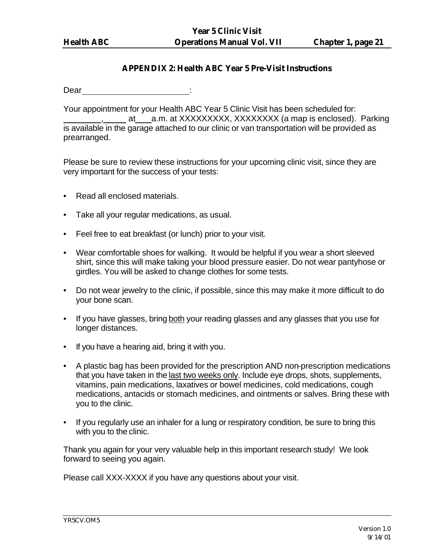#### **APPENDIX 2: Health ABC Year 5 Pre-Visit Instructions**

Dear : the set of the set of the set of the set of the set of the set of the set of the set of the set of the set of the set of the set of the set of the set of the set of the set of the set of the set of the set of the se

Your appointment for your Health ABC Year 5 Clinic Visit has been scheduled for: at a.m. at XXXXXXXXX, XXXXXXXX (a map is enclosed). Parking is available in the garage attached to our clinic or van transportation will be provided as prearranged.

Please be sure to review these instructions for your upcoming clinic visit, since they are very important for the success of your tests:

- Read all enclosed materials.
- Take all your regular medications, as usual.
- Feel free to eat breakfast (or lunch) prior to your visit.
- Wear comfortable shoes for walking. It would be helpful if you wear a short sleeved shirt, since this will make taking your blood pressure easier. Do not wear pantyhose or girdles. You will be asked to change clothes for some tests.
- Do not wear jewelry to the clinic, if possible, since this may make it more difficult to do your bone scan.
- If you have glasses, bring both your reading glasses and any glasses that you use for longer distances.
- If you have a hearing aid, bring it with you.
- A plastic bag has been provided for the prescription AND non-prescription medications that you have taken in the last two weeks only. Include eye drops, shots, supplements, vitamins, pain medications, laxatives or bowel medicines, cold medications, cough medications, antacids or stomach medicines, and ointments or salves. Bring these with you to the clinic.
- If you regularly use an inhaler for a lung or respiratory condition, be sure to bring this with you to the clinic.

Thank you again for your very valuable help in this important research study! We look forward to seeing you again.

Please call XXX-XXXX if you have any questions about your visit.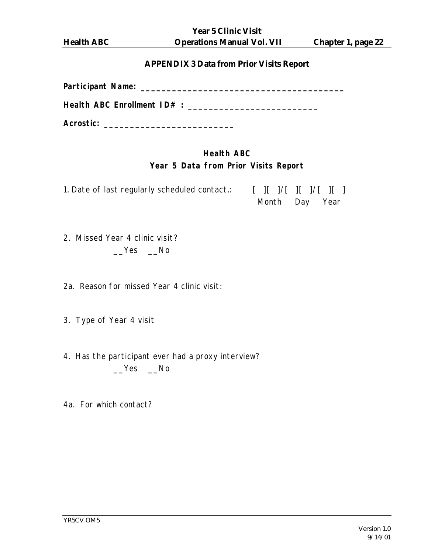**Year 5 Clinic Visit Health ABC Operations Manual Vol. VII Chapter 1, page 22**

#### **APPENDIX 3 Data from Prior Visits Report**

| Health ABC Enrollment ID# : __ |  |
|--------------------------------|--|
| Acrostic:                      |  |

## **Health ABC Year 5 Data from Prior Visits Report**

1. Date of last regularly scheduled contact.: [ ][ ]/[ ][ ]/[ ][ ] Month Day Year

2. Missed Year 4 clinic visit? \_\_Yes \_\_No

2a. Reason for missed Year 4 clinic visit:

3. Type of Year 4 visit

- 4. Has the participant ever had a proxy interview? \_\_Yes \_\_No
- 4a. For which contact?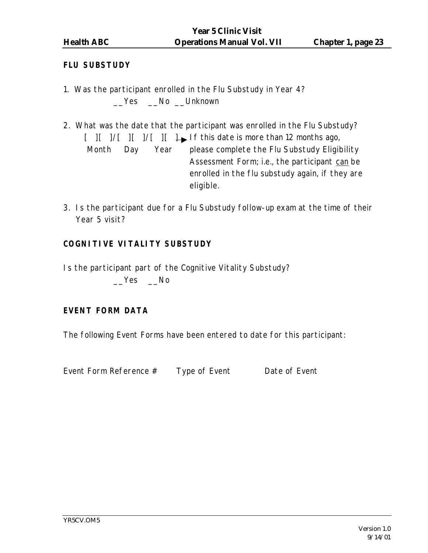#### **FLU SUBSTUDY**

- 1. Was the participant enrolled in the Flu Substudy in Year 4? \_\_Yes \_\_No \_\_Unknown
- 2. What was the date that the participant was enrolled in the Flu Substudy?  $[$   $]$  $[$   $]$  $[$   $]$  $[$   $]$  $[$   $]$  $[$   $]$  $[$   $]$  $[$   $]$  $[$   $]$  $[$   $]$  $[$   $]$  $[$   $]$  $[$   $]$  $[$   $]$  $[$   $]$  $[$   $]$  $[$   $]$  $[$   $]$  $[$   $]$  $[$   $]$  $[$   $]$  $[$   $]$  $[$   $]$  $[$   $]$  $[$   $]$  $[$   $]$  $[$   $]$  $[$   $]$  $[$   $]$  $[$   $]$  $[$   $]$  $[$  Month Day Year please complete the Flu Substudy Eligibility Assessment Form; i.e., the participant can be enrolled in the flu substudy again, if they are eligible.
- 3. Is the participant due for a Flu Substudy follow-up exam at the time of their Year 5 visit?

## **COGNITIVE VITALITY SUBSTUDY**

Is the participant part of the Cognitive Vitality Substudy?

Yes No

#### **EVENT FORM DATA**

The following Event Forms have been entered to date for this participant:

Event Form Reference # Type of Event Date of Event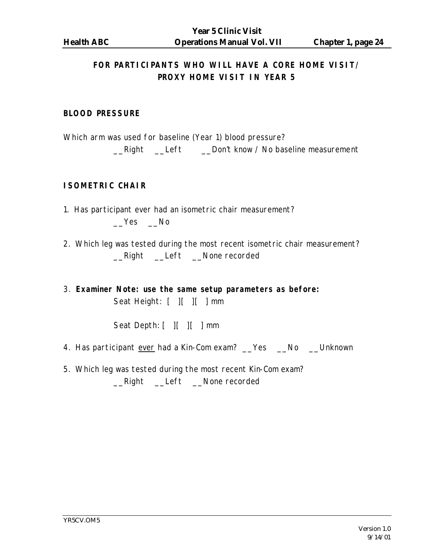## **FOR PARTICIPANTS WHO WILL HAVE A CORE HOME VISIT/ PROXY HOME VISIT IN YEAR 5**

#### **BLOOD PRESSURE**

Which arm was used for baseline (Year 1) blood pressure?

\_\_Right \_\_Left \_\_Don't know / No baseline measurement

## **ISOMETRIC CHAIR**

- 1. Has participant ever had an isometric chair measurement?  $Yes$   $No$
- 2. Which leg was tested during the most recent isometric chair measurement? \_\_Right \_\_Left \_\_None recorded
- 3. **Examiner Note: use the same setup parameters as before:** Seat Height: [ ][ ][ ] mm

Seat Depth: [ ][ ][ ] mm

- 4. Has participant ever had a Kin-Com exam? \_\_Yes \_\_No \_\_Unknown
- 5. Which leg was tested during the most recent Kin-Com exam? \_\_Right \_\_Left \_\_None recorded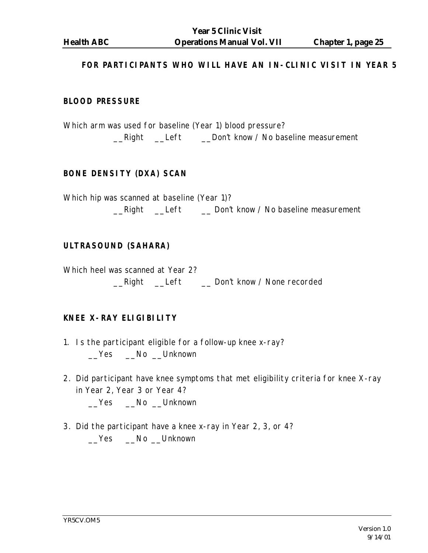#### **FOR PARTICIPANTS WHO WILL HAVE AN IN-CLINIC VISIT IN YEAR 5**

#### **BLOOD PRESSURE**

Which arm was used for baseline (Year 1) blood pressure? \_\_Right \_\_Left \_\_Don't know / No baseline measurement

#### **BONE DENSITY (DXA) SCAN**

Which hip was scanned at baseline (Year 1)? \_\_Right \_\_Left \_\_ Don't know / No baseline measurement

#### **ULTRASOUND (SAHARA)**

Which heel was scanned at Year 2? \_\_Right \_\_Left \_\_ Don't know / None recorded

#### **KNEE X-RAY ELIGIBILITY**

- 1. Is the participant eligible for a follow-up knee x-ray? \_\_Yes \_\_No \_\_Unknown
- 2. Did participant have knee symptoms that met eligibility criteria for knee X-ray in Year 2, Year 3 or Year 4?

\_\_Yes \_\_No \_\_Unknown

3. Did the participant have a knee x-ray in Year 2, 3, or 4? \_\_Yes \_\_No \_\_Unknown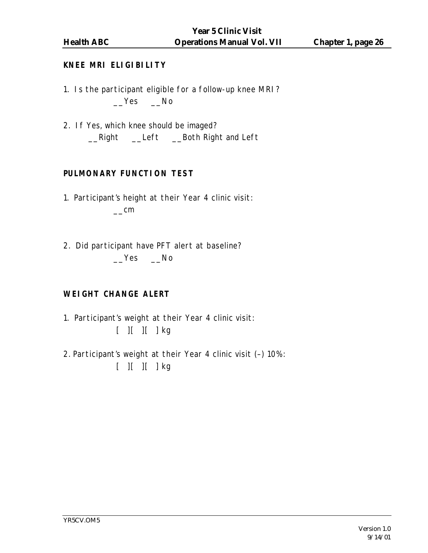## **KNEE MRI ELIGIBILITY**

- 1. Is the participant eligible for a follow-up knee MRI?  $Yes$   $No$
- 2. If Yes, which knee should be imaged? \_\_Right \_\_Left \_\_Both Right and Left

## **PULMONARY FUNCTION TEST**

- 1. Participant's height at their Year 4 clinic visit:  $\equiv$ cm
- 2. Did participant have PFT alert at baseline? Yes No

## **WEIGHT CHANGE ALERT**

- 1. Participant's weight at their Year 4 clinic visit:  $[$   $]$  $[$   $]$  $[$   $]$  $k$ g
- 2. Participant's weight at their Year 4 clinic visit (–) 10%: [ ][ ][ ] kg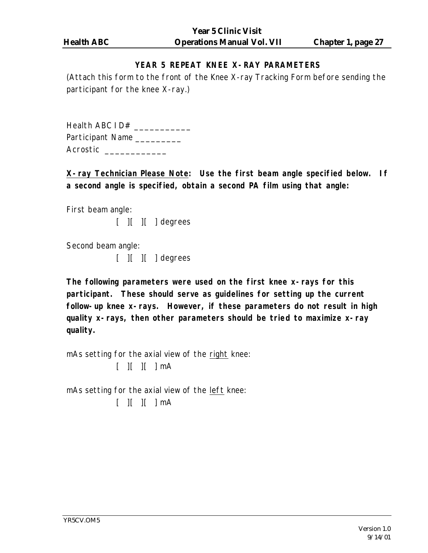## **YEAR 5 REPEAT KNEE X-RAY PARAMETERS**

(Attach this form to the front of the Knee X-ray Tracking Form before sending the participant for the knee X-ray.)

Health ABC 1D# \_\_\_\_\_\_\_\_\_\_\_\_\_ Participant Name \_\_\_\_\_\_\_\_\_\_ Acrostic \_\_\_\_\_\_\_\_\_\_\_\_\_\_

**X-ray Technician Please Note: Use the first beam angle specified below. If a second angle is specified, obtain a second PA film using that angle:**

First beam angle:

 $[$   $]$  $[$   $]$  $[$   $]$  degrees

Second beam angle:

 $[$   $]$  $[$   $]$  $[$   $]$  degrees

**The following parameters were used on the first knee x-rays for this participant. These should serve as guidelines for setting up the current follow-up knee x-rays. However, if these parameters do not result in high quality x-rays, then other parameters should be tried to maximize x-ray quality.**

mAs setting for the axial view of the right knee:  $[$   $]$  $[$   $]$  $[$   $]$  $mA$ 

mAs setting for the axial view of the left knee:  $[$   $]$  $[$   $]$  $[$   $]$  $mA$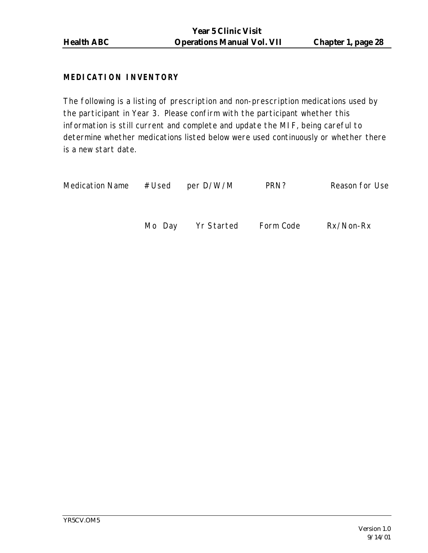## **MEDICATION INVENTORY**

The following is a listing of prescription and non-prescription medications used by the participant in Year 3. Please confirm with the participant whether this information is still current and complete and update the MIF, being careful to determine whether medications listed below were used continuously or whether there is a new start date.

| <b>Medication Name</b> | #Used  | per D/W/M  | PRN?      | Reason for Use |
|------------------------|--------|------------|-----------|----------------|
|                        | Mo Day | Yr Started | Form Code | Rx/Non-Rx      |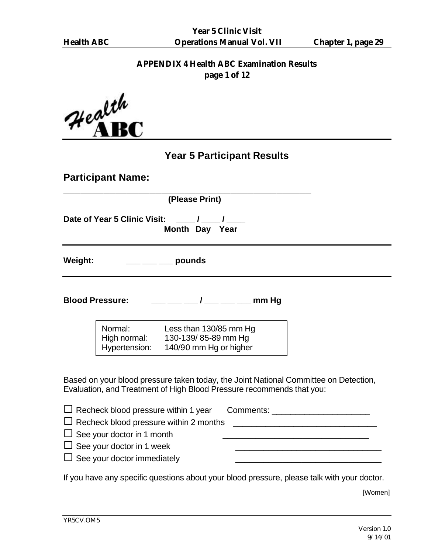# **APPENDIX 4 Health ABC Examination Results**

**page 1 of 12**

| Health    |
|-----------|
| <b>AB</b> |

# **Year 5 Participant Results**

| <b>Participant Name:</b> |                                                                                                                                                            |                                                                                      |  |                                                                                      |
|--------------------------|------------------------------------------------------------------------------------------------------------------------------------------------------------|--------------------------------------------------------------------------------------|--|--------------------------------------------------------------------------------------|
|                          |                                                                                                                                                            | (Please Print)                                                                       |  |                                                                                      |
|                          |                                                                                                                                                            | Date of Year 5 Clinic Visit: ___/___/___<br>Month Day Year                           |  |                                                                                      |
| <b>Weight:</b>           |                                                                                                                                                            | ___ ___ ___ pounds                                                                   |  |                                                                                      |
| <b>Blood Pressure:</b>   |                                                                                                                                                            | <u>___ ___ / __ _ _</u> __ mm Hg                                                     |  |                                                                                      |
|                          | Normal:<br>Hypertension:                                                                                                                                   | Less than 130/85 mm Hg<br>High normal: 130-139/85-89 mm Hg<br>140/90 mm Hg or higher |  |                                                                                      |
|                          |                                                                                                                                                            | Evaluation, and Treatment of High Blood Pressure recommends that you:                |  | Based on your blood pressure taken today, the Joint National Committee on Detection, |
|                          | $\Box$ Recheck blood pressure within 1 year<br>$\Box$ See your doctor in 1 month<br>$\Box$ See your doctor in 1 week<br>$\Box$ See your doctor immediately | Recheck blood pressure within 2 months                                               |  | Comments: _________________________                                                  |

If you have any specific questions about your blood pressure, please talk with your doctor.

[Women]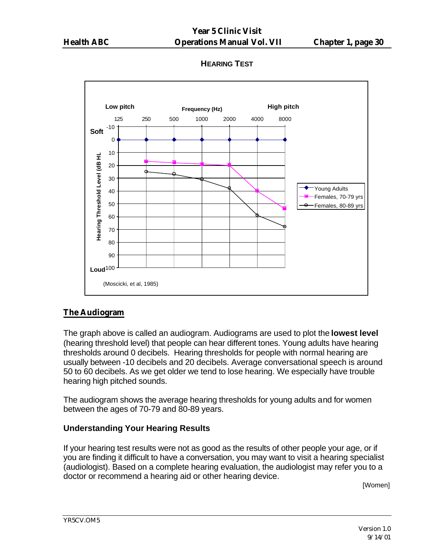## **HEARING TEST**



## **The Audiogram**

The graph above is called an audiogram. Audiograms are used to plot the **lowest level** (hearing threshold level) that people can hear different tones. Young adults have hearing thresholds around 0 decibels. Hearing thresholds for people with normal hearing are usually between -10 decibels and 20 decibels. Average conversational speech is around 50 to 60 decibels. As we get older we tend to lose hearing. We especially have trouble hearing high pitched sounds.

The audiogram shows the average hearing thresholds for young adults and for women between the ages of 70-79 and 80-89 years.

#### **Understanding Your Hearing Results**

If your hearing test results were not as good as the results of other people your age, or if you are finding it difficult to have a conversation, you may want to visit a hearing specialist (audiologist). Based on a complete hearing evaluation, the audiologist may refer you to a doctor or recommend a hearing aid or other hearing device.

[Women]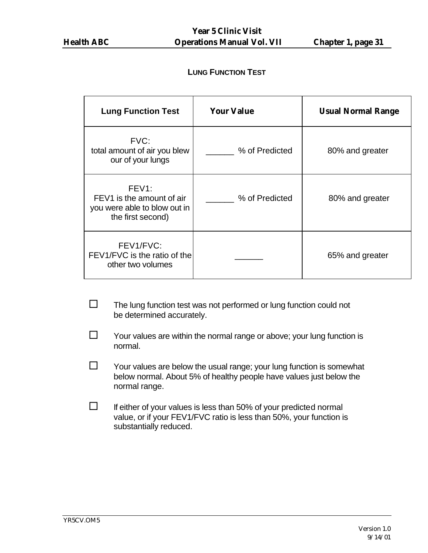#### **LUNG FUNCTION TEST**

| <b>Lung Function Test</b>                                                                            | <b>Your Value</b> | <b>Usual Normal Range</b> |
|------------------------------------------------------------------------------------------------------|-------------------|---------------------------|
| FVC:<br>total amount of air you blew<br>our of your lungs                                            | % of Predicted    | 80% and greater           |
| FEV <sub>1</sub> :<br>FEV1 is the amount of air<br>you were able to blow out in<br>the first second) | % of Predicted    | 80% and greater           |
| FEV1/FVC:<br>FEV1/FVC is the ratio of the<br>other two volumes                                       |                   | 65% and greater           |

- $\square$  The lung function test was not performed or lung function could not be determined accurately.
- $\square$  Your values are within the normal range or above; your lung function is normal.
- $\square$  Your values are below the usual range; your lung function is somewhat below normal. About 5% of healthy people have values just below the normal range.
- $\square$  If either of your values is less than 50% of your predicted normal value, or if your FEV1/FVC ratio is less than 50%, your function is substantially reduced.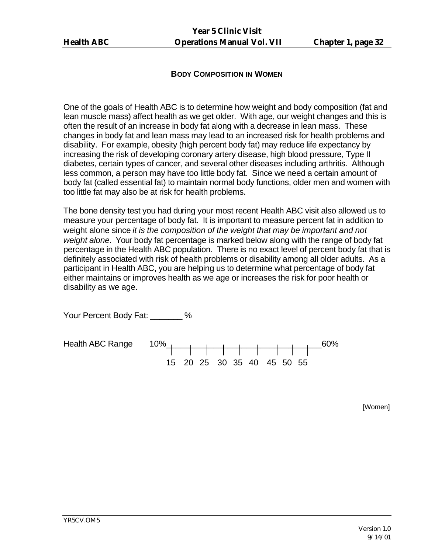#### **BODY COMPOSITION IN WOMEN**

One of the goals of Health ABC is to determine how weight and body composition (fat and lean muscle mass) affect health as we get older. With age, our weight changes and this is often the result of an increase in body fat along with a decrease in lean mass. These changes in body fat and lean mass may lead to an increased risk for health problems and disability. For example, obesity (high percent body fat) may reduce life expectancy by increasing the risk of developing coronary artery disease, high blood pressure, Type II diabetes, certain types of cancer, and several other diseases including arthritis. Although less common, a person may have too little body fat. Since we need a certain amount of body fat (called essential fat) to maintain normal body functions, older men and women with too little fat may also be at risk for health problems.

The bone density test you had during your most recent Health ABC visit also allowed us to measure your percentage of body fat. It is important to measure percent fat in addition to weight alone since *it is the composition of the weight that may be important and not weight alone*. Your body fat percentage is marked below along with the range of body fat percentage in the Health ABC population. There is no exact level of percent body fat that is definitely associated with risk of health problems or disability among all older adults. As a participant in Health ABC, you are helping us to determine what percentage of body fat either maintains or improves health as we age or increases the risk for poor health or disability as we age.

Your Percent Body Fat: \_\_\_\_\_\_\_ %

Health ABC Range 10% and the set of the set of the set of  $\sim 60\%$ 15 20 25 30 35 40 45 50 55

[Women]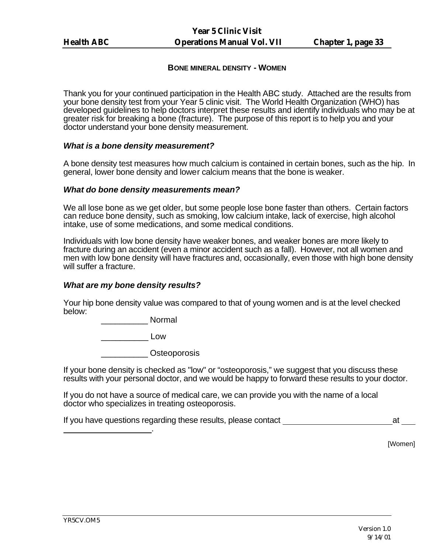#### **BONE MINERAL DENSITY - WOMEN**

Thank you for your continued participation in the Health ABC study. Attached are the results from your bone density test from your Year 5 clinic visit. The World Health Organization (WHO) has developed guidelines to help doctors interpret these results and identify individuals who may be at greater risk for breaking a bone (fracture). The purpose of this report is to help you and your doctor understand your bone density measurement.

#### *What is a bone density measurement?*

A bone density test measures how much calcium is contained in certain bones, such as the hip. In general, lower bone density and lower calcium means that the bone is weaker.

#### *What do bone density measurements mean?*

We all lose bone as we get older, but some people lose bone faster than others. Certain factors can reduce bone density, such as smoking, low calcium intake, lack of exercise, high alcohol intake, use of some medications, and some medical conditions.

Individuals with low bone density have weaker bones, and weaker bones are more likely to fracture during an accident (even a minor accident such as a fall). However, not all women and men with low bone density will have fractures and, occasionally, even those with high bone density will suffer a fracture.

#### *What are my bone density results?*

Your hip bone density value was compared to that of young women and is at the level checked below:

\_\_\_\_\_\_\_\_\_\_ Normal

 $\Box$ 

\_\_\_\_\_\_\_\_\_\_ Osteoporosis

If your bone density is checked as "low" or "osteoporosis," we suggest that you discuss these results with your personal doctor, and we would be happy to forward these results to your doctor.

If you do not have a source of medical care, we can provide you with the name of a local doctor who specializes in treating osteoporosis.

If you have questions regarding these results, please contact and at at at at a set of  $\alpha$  at at a set of  $\alpha$ .

[Women]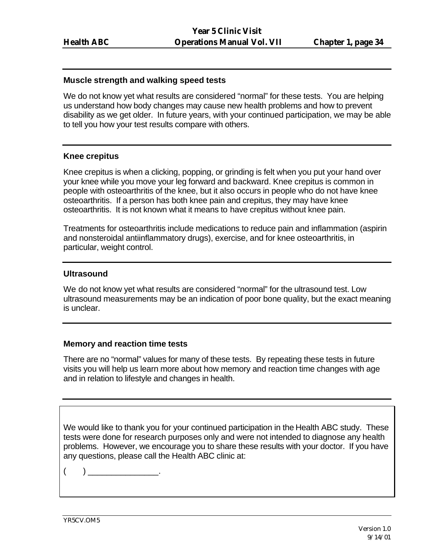#### **Muscle strength and walking speed tests**

We do not know yet what results are considered "normal" for these tests. You are helping us understand how body changes may cause new health problems and how to prevent disability as we get older. In future years, with your continued participation, we may be able to tell you how your test results compare with others.

#### **Knee crepitus**

Knee crepitus is when a clicking, popping, or grinding is felt when you put your hand over your knee while you move your leg forward and backward. Knee crepitus is common in people with osteoarthritis of the knee, but it also occurs in people who do not have knee osteoarthritis. If a person has both knee pain and crepitus, they may have knee osteoarthritis. It is not known what it means to have crepitus without knee pain.

Treatments for osteoarthritis include medications to reduce pain and inflammation (aspirin and nonsteroidal antiinflammatory drugs), exercise, and for knee osteoarthritis, in particular, weight control.

#### **Ultrasound**

We do not know yet what results are considered "normal" for the ultrasound test. Low ultrasound measurements may be an indication of poor bone quality, but the exact meaning is unclear.

#### **Memory and reaction time tests**

There are no "normal" values for many of these tests. By repeating these tests in future visits you will help us learn more about how memory and reaction time changes with age and in relation to lifestyle and changes in health.

We would like to thank you for your continued participation in the Health ABC study. These tests were done for research purposes only and were not intended to diagnose any health problems. However, we encourage you to share these results with your doctor. If you have any questions, please call the Health ABC clinic at:

( ) \_\_\_\_\_\_\_\_\_\_\_\_\_\_\_.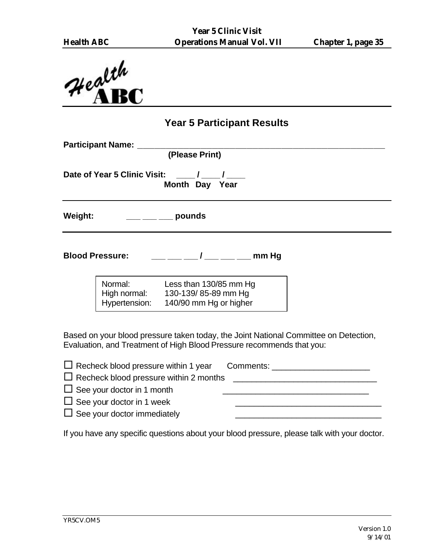

## **Year 5 Participant Results**

|         | <b>Participant Name:</b>                 | (Please Print)                                                          |  |
|---------|------------------------------------------|-------------------------------------------------------------------------|--|
|         | Date of Year 5 Clinic Visit:             | Month Day Year                                                          |  |
| Weight: |                                          | pounds                                                                  |  |
|         | <b>Blood Pressure:</b>                   | mm Hg<br>$\mathcal{L}$                                                  |  |
|         | Normal:<br>High normal:<br>Hypertension: | Less than 130/85 mm Hg<br>130-139/85-89 mm Hg<br>140/90 mm Hg or higher |  |
|         |                                          |                                                                         |  |

Based on your blood pressure taken today, the Joint National Committee on Detection, Evaluation, and Treatment of High Blood Pressure recommends that you:

| $\Box$ Recheck blood pressure within 1 year Comments: $\Box$ |  |
|--------------------------------------------------------------|--|
| $\Box$ Recheck blood pressure within 2 months                |  |
| $\Box$ See your doctor in 1 month                            |  |
| $\Box$ See your doctor in 1 week                             |  |
| $\Box$ See your doctor immediately                           |  |
|                                                              |  |

If you have any specific questions about your blood pressure, please talk with your doctor.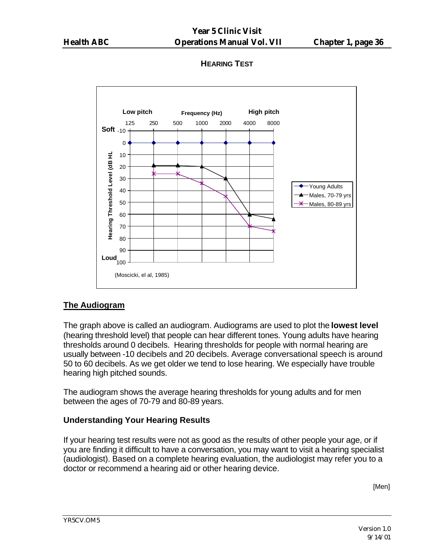## **HEARING TEST**



## **The Audiogram**

The graph above is called an audiogram. Audiograms are used to plot the **lowest level** (hearing threshold level) that people can hear different tones. Young adults have hearing thresholds around 0 decibels. Hearing thresholds for people with normal hearing are usually between -10 decibels and 20 decibels. Average conversational speech is around 50 to 60 decibels. As we get older we tend to lose hearing. We especially have trouble hearing high pitched sounds.

The audiogram shows the average hearing thresholds for young adults and for men between the ages of 70-79 and 80-89 years.

## **Understanding Your Hearing Results**

If your hearing test results were not as good as the results of other people your age, or if you are finding it difficult to have a conversation, you may want to visit a hearing specialist (audiologist). Based on a complete hearing evaluation, the audiologist may refer you to a doctor or recommend a hearing aid or other hearing device.

[Men]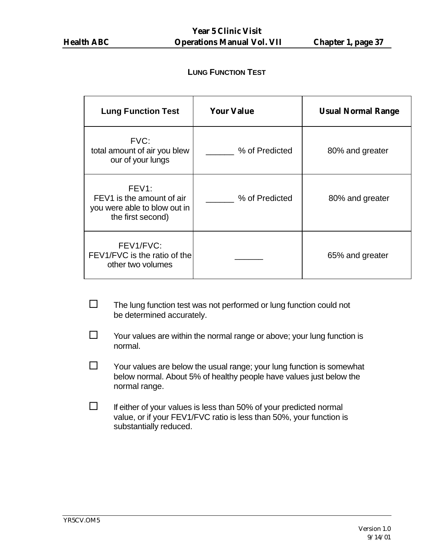#### **LUNG FUNCTION TEST**

| <b>Lung Function Test</b>                                                                            | <b>Your Value</b> | <b>Usual Normal Range</b> |
|------------------------------------------------------------------------------------------------------|-------------------|---------------------------|
| FVC:<br>total amount of air you blew<br>our of your lungs                                            | % of Predicted    | 80% and greater           |
| FEV <sub>1</sub> :<br>FEV1 is the amount of air<br>you were able to blow out in<br>the first second) | % of Predicted    | 80% and greater           |
| FEV1/FVC:<br>FEV1/FVC is the ratio of the<br>other two volumes                                       |                   | 65% and greater           |

- $\square$  The lung function test was not performed or lung function could not be determined accurately.
- $\square$  Your values are within the normal range or above; your lung function is normal.
- $\square$  Your values are below the usual range; your lung function is somewhat below normal. About 5% of healthy people have values just below the normal range.
- $\square$  If either of your values is less than 50% of your predicted normal value, or if your FEV1/FVC ratio is less than 50%, your function is substantially reduced.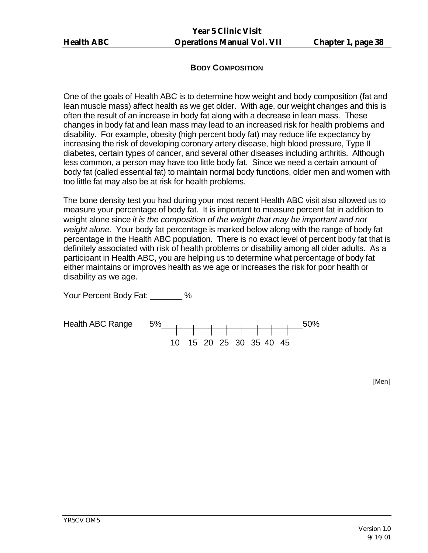#### **BODY COMPOSITION**

One of the goals of Health ABC is to determine how weight and body composition (fat and lean muscle mass) affect health as we get older. With age, our weight changes and this is often the result of an increase in body fat along with a decrease in lean mass. These changes in body fat and lean mass may lead to an increased risk for health problems and disability. For example, obesity (high percent body fat) may reduce life expectancy by increasing the risk of developing coronary artery disease, high blood pressure, Type II diabetes, certain types of cancer, and several other diseases including arthritis. Although less common, a person may have too little body fat. Since we need a certain amount of body fat (called essential fat) to maintain normal body functions, older men and women with too little fat may also be at risk for health problems.

The bone density test you had during your most recent Health ABC visit also allowed us to measure your percentage of body fat. It is important to measure percent fat in addition to weight alone since *it is the composition of the weight that may be important and not weight alone*. Your body fat percentage is marked below along with the range of body fat percentage in the Health ABC population. There is no exact level of percent body fat that is definitely associated with risk of health problems or disability among all older adults. As a participant in Health ABC, you are helping us to determine what percentage of body fat either maintains or improves health as we age or increases the risk for poor health or disability as we age.

Your Percent Body Fat: \_\_\_\_\_\_\_ %



[Men]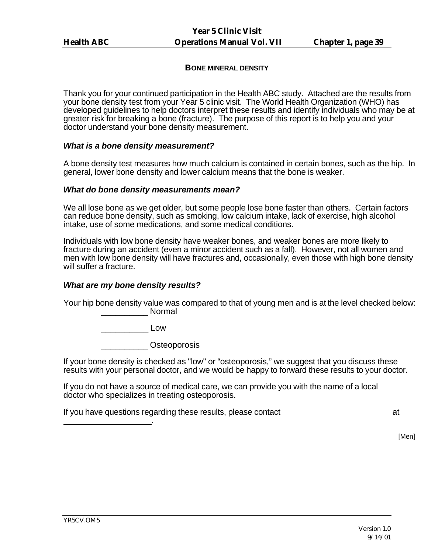#### **BONE MINERAL DENSITY**

Thank you for your continued participation in the Health ABC study. Attached are the results from your bone density test from your Year 5 clinic visit. The World Health Organization (WHO) has developed guidelines to help doctors interpret these results and identify individuals who may be at greater risk for breaking a bone (fracture). The purpose of this report is to help you and your doctor understand your bone density measurement.

#### *What is a bone density measurement?*

A bone density test measures how much calcium is contained in certain bones, such as the hip. In general, lower bone density and lower calcium means that the bone is weaker.

#### *What do bone density measurements mean?*

We all lose bone as we get older, but some people lose bone faster than others. Certain factors can reduce bone density, such as smoking, low calcium intake, lack of exercise, high alcohol intake, use of some medications, and some medical conditions.

Individuals with low bone density have weaker bones, and weaker bones are more likely to fracture during an accident (even a minor accident such as a fall). However, not all women and men with low bone density will have fractures and, occasionally, even those with high bone density will suffer a fracture.

#### *What are my bone density results?*

Your hip bone density value was compared to that of young men and is at the level checked below: \_\_\_\_\_\_\_\_\_\_ Normal

\_\_\_\_\_\_\_\_\_\_ Low

\_\_\_\_\_\_\_\_\_\_ Osteoporosis

If your bone density is checked as "low" or "osteoporosis," we suggest that you discuss these results with your personal doctor, and we would be happy to forward these results to your doctor.

If you do not have a source of medical care, we can provide you with the name of a local doctor who specializes in treating osteoporosis.

If you have questions regarding these results, please contact at the state at at at at a state at a state at a .

[Men]

YR5CV.OM5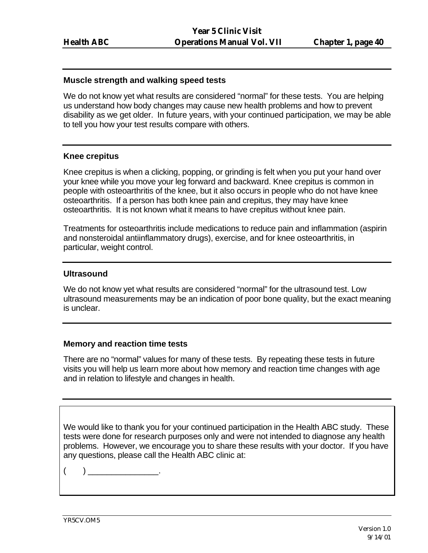#### **Muscle strength and walking speed tests**

We do not know yet what results are considered "normal" for these tests. You are helping us understand how body changes may cause new health problems and how to prevent disability as we get older. In future years, with your continued participation, we may be able to tell you how your test results compare with others.

#### **Knee crepitus**

Knee crepitus is when a clicking, popping, or grinding is felt when you put your hand over your knee while you move your leg forward and backward. Knee crepitus is common in people with osteoarthritis of the knee, but it also occurs in people who do not have knee osteoarthritis. If a person has both knee pain and crepitus, they may have knee osteoarthritis. It is not known what it means to have crepitus without knee pain.

Treatments for osteoarthritis include medications to reduce pain and inflammation (aspirin and nonsteroidal antiinflammatory drugs), exercise, and for knee osteoarthritis, in particular, weight control.

#### **Ultrasound**

We do not know yet what results are considered "normal" for the ultrasound test. Low ultrasound measurements may be an indication of poor bone quality, but the exact meaning is unclear.

#### **Memory and reaction time tests**

There are no "normal" values for many of these tests. By repeating these tests in future visits you will help us learn more about how memory and reaction time changes with age and in relation to lifestyle and changes in health.

We would like to thank you for your continued participation in the Health ABC study. These tests were done for research purposes only and were not intended to diagnose any health problems. However, we encourage you to share these results with your doctor. If you have any questions, please call the Health ABC clinic at:

 $($  )  $)$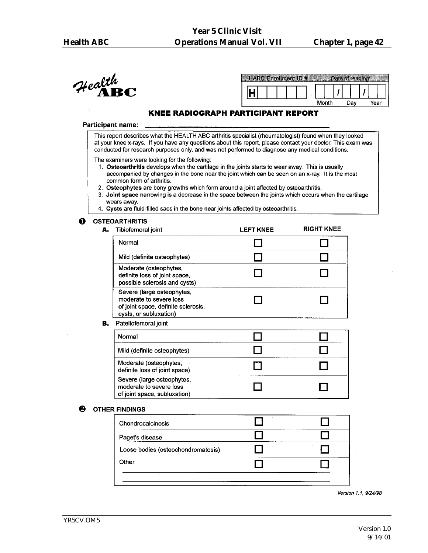$\mathcal{H}$ ealth $\mathbf{R} \mathbf{C}$ 

| $C$ Enrollment ID $#$ |  |       | rate of reading |      |  |
|-----------------------|--|-------|-----------------|------|--|
|                       |  |       |                 |      |  |
|                       |  | Month | າລນ             | rear |  |

#### **KNEE RADIOGRAPH PARTICIPANT REPORT**

#### **Participant name:**

This report describes what the HEALTH ABC arthritis specialist (rheumatologist) found when they looked at your knee x-rays. If you have any questions about this report, please contact your doctor. This exam was conducted for research purposes only, and was not performed to diagnose any medical conditions.

The examiners were looking for the following:

- 1. Osteoarthritis develops when the cartilage in the joints starts to wear away. This is usually accompanied by changes in the bone near the joint which can be seen on an x-ray. It is the most common form of arthritis.
- 2. Osteophytes are bony growths which form around a joint affected by osteoarthritis.
- 3. Joint space narrowing is a decrease in the space between the joints which occurs when the cartilage wears away.
- 4. Cysts are fluid-filled sacs in the bone near joints affected by osteoarthritis.

#### $\mathbf{\Omega}$ **OSTEOARTHRITIS**

| А. | Tibiofemoral joint                                                                                                     | <b>LEFT KNEE</b> | <b>RIGHT KNEE</b> |
|----|------------------------------------------------------------------------------------------------------------------------|------------------|-------------------|
|    | Normal                                                                                                                 |                  |                   |
|    | Mild (definite osteophytes)                                                                                            |                  |                   |
|    | Moderate (osteophytes,<br>definite loss of joint space,<br>possible sclerosis and cysts)                               |                  |                   |
|    | Severe (large osteophytes,<br>moderate to severe loss<br>of joint space, definite sclerosis,<br>cysts, or subluxation) |                  |                   |
| В. | Patellofemoral joint                                                                                                   |                  |                   |
|    | Normal                                                                                                                 |                  |                   |
|    | Mild (definite osteophytes)                                                                                            |                  |                   |
|    | Moderate (osteophytes,<br>definite loss of joint space)                                                                |                  |                   |
|    | Severe (large osteophytes,<br>moderate to severe loss<br>of joint space, subluxation)                                  |                  |                   |
|    | <b>HER FINDINGS</b>                                                                                                    |                  |                   |

#### ❷ OTH

| Chondrocalcinosis                  |  |
|------------------------------------|--|
| Paget's disease                    |  |
| Loose bodies (osteochondromatosis) |  |
| Other                              |  |

Version 1.1, 9/24/98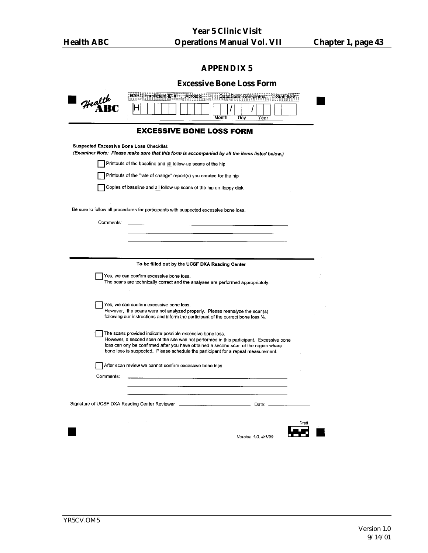| <b>Excessive Bone Loss Form</b>                                                                                                                                                 |  |
|---------------------------------------------------------------------------------------------------------------------------------------------------------------------------------|--|
| HABC Enolment ID # Acrostic   Tate Form Completed Star ID #                                                                                                                     |  |
| Health<br>Month<br>Day<br>Year                                                                                                                                                  |  |
| <b>EXCESSIVE BONE LOSS FORM</b>                                                                                                                                                 |  |
| <b>Suspected Excessive Bone Loss Checklist</b><br>(Examiner Note: Please make sure that this form is accompanied by all the items listed below.)                                |  |
| Printouts of the baseline and all follow-up scans of the hip                                                                                                                    |  |
| Printouts of the "rate of change" report(s) you created for the hip                                                                                                             |  |
| Copies of baseline and all follow-up scans of the hip on floppy disk                                                                                                            |  |
|                                                                                                                                                                                 |  |
| Be sure to follow all procedures for participants with suspected excessive bone loss.                                                                                           |  |
| Comments:                                                                                                                                                                       |  |
|                                                                                                                                                                                 |  |
|                                                                                                                                                                                 |  |
|                                                                                                                                                                                 |  |
| To be filled out by the UCSF DXA Reading Center<br>Yes, we can confirm excessive bone loss.                                                                                     |  |
| The scans are technically correct and the analyses are performed appropriately.                                                                                                 |  |
|                                                                                                                                                                                 |  |
| Yes, we can confirm excessive bone loss.<br>However, the scans were not analyzed properly. Please reanalyze the scan(s)                                                         |  |
| following our instructions and inform the participant of the correct bone loss %.                                                                                               |  |
| The scans provided indicate possible excessive bone loss.                                                                                                                       |  |
| However, a second scan of the site was not performed in this participant. Excessive bone<br>loss can ony be confirmed after you have obtained a second scan of the region where |  |
| bone loss is suspected. Please schedule the participant for a repeat measurement.                                                                                               |  |
| After scan review we cannot confirm excessive bone loss.                                                                                                                        |  |
| Comments:                                                                                                                                                                       |  |
|                                                                                                                                                                                 |  |
| Signature of UCSF DXA Reading Center Reviewer<br>Date:                                                                                                                          |  |
|                                                                                                                                                                                 |  |
| Draft                                                                                                                                                                           |  |
| Version 1.0. 4/1/99                                                                                                                                                             |  |
|                                                                                                                                                                                 |  |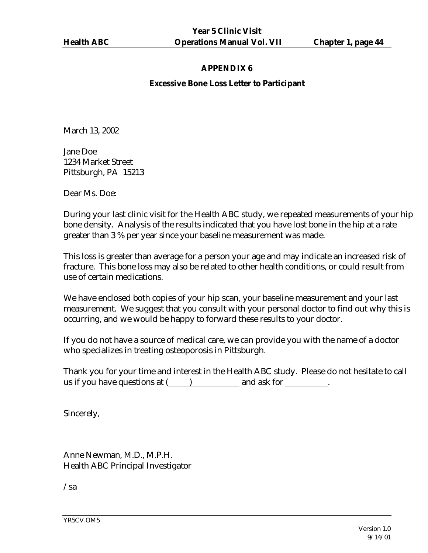#### **Excessive Bone Loss Letter to Participant**

March 13, 2002

Jane Doe 1234 Market Street Pittsburgh, PA 15213

Dear Ms. Doe:

During your last clinic visit for the Health ABC study, we repeated measurements of your hip bone density. Analysis of the results indicated that you have lost bone in the hip at a rate greater than 3 % per year since your baseline measurement was made.

This loss is greater than average for a person your age and may indicate an increased risk of fracture. This bone loss may also be related to other health conditions, or could result from use of certain medications.

We have enclosed both copies of your hip scan, your baseline measurement and your last measurement. We suggest that you consult with your personal doctor to find out why this is occurring, and we would be happy to forward these results to your doctor.

If you do not have a source of medical care, we can provide you with the name of a doctor who specializes in treating osteoporosis in Pittsburgh.

Thank you for your time and interest in the Health ABC study. Please do not hesitate to call us if you have questions at ( ) and ask for  $\cdot$ 

Sincerely,

Anne Newman, M.D., M.P.H. Health ABC Principal Investigator

/sa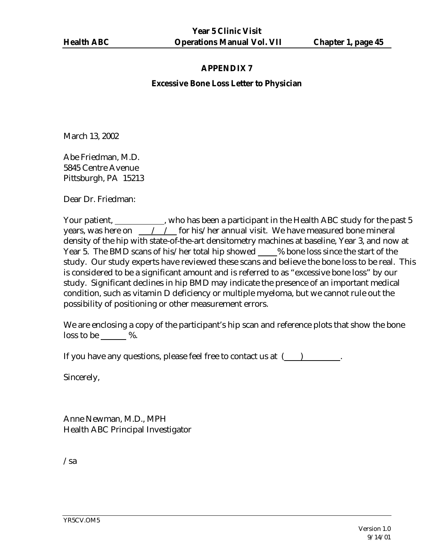#### **Excessive Bone Loss Letter to Physician**

March 13, 2002

Abe Friedman, M.D. 5845 Centre Avenue Pittsburgh, PA 15213

Dear Dr. Friedman:

Your patient, \_\_\_\_\_\_\_\_\_\_\_, who has been a participant in the Health ABC study for the past 5 years, was here on  $\frac{1}{100}$  / for his/her annual visit. We have measured bone mineral density of the hip with state-of-the-art densitometry machines at baseline, Year 3, and now at Year 5. The BMD scans of his/her total hip showed \_\_\_\_ % bone loss since the start of the study. Our study experts have reviewed these scans and believe the bone loss to be real. This is considered to be a significant amount and is referred to as "excessive bone loss" by our study. Significant declines in hip BMD may indicate the presence of an important medical condition, such as vitamin D deficiency or multiple myeloma, but we cannot rule out the possibility of positioning or other measurement errors.

We are enclosing a copy of the participant's hip scan and reference plots that show the bone loss to be  $\%$ .

If you have any questions, please feel free to contact us at  $($ )

Sincerely,

Anne Newman, M.D., MPH Health ABC Principal Investigator

/sa